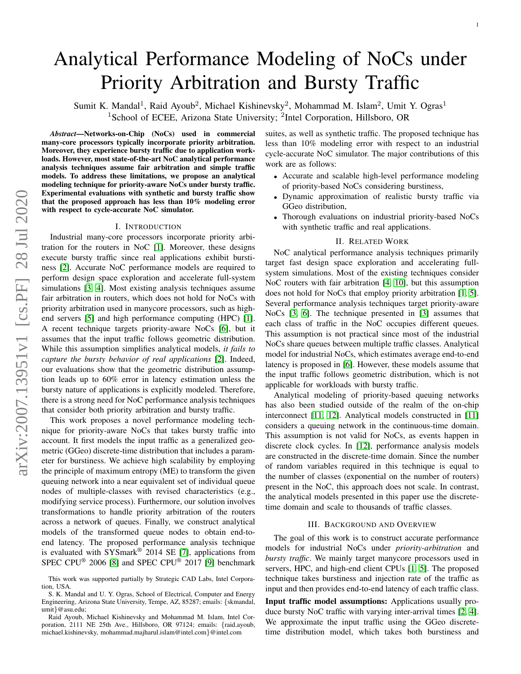# Analytical Performance Modeling of NoCs under Priority Arbitration and Bursty Traffic

Sumit K. Mandal<sup>1</sup>, Raid Ayoub<sup>2</sup>, Michael Kishinevsky<sup>2</sup>, Mohammad M. Islam<sup>2</sup>, Umit Y. Ogras<sup>1</sup> <sup>1</sup>School of ECEE, Arizona State University; <sup>2</sup>Intel Corporation, Hillsboro, OR

*Abstract*—Networks-on-Chip (NoCs) used in commercial many-core processors typically incorporate priority arbitration. Moreover, they experience bursty traffic due to application workloads. However, most state-of-the-art NoC analytical performance analysis techniques assume fair arbitration and simple traffic models. To address these limitations, we propose an analytical modeling technique for priority-aware NoCs under bursty traffic. Experimental evaluations with synthetic and bursty traffic show that the proposed approach has less than 10% modeling error with respect to cycle-accurate NoC simulator.

#### I. INTRODUCTION

Industrial many-core processors incorporate priority arbitration for the routers in NoC [\[1\]](#page-4-0). Moreover, these designs execute bursty traffic since real applications exhibit burstiness [\[2\]](#page-4-1). Accurate NoC performance models are required to perform design space exploration and accelerate full-system simulations [\[3,](#page-4-2) [4\]](#page-4-3). Most existing analysis techniques assume fair arbitration in routers, which does not hold for NoCs with priority arbitration used in manycore processors, such as highend servers [\[5\]](#page-4-4) and high performance computing (HPC) [\[1\]](#page-4-0). A recent technique targets priority-aware NoCs [\[6\]](#page-4-5), but it assumes that the input traffic follows geometric distribution. While this assumption simplifies analytical models, *it fails to capture the bursty behavior of real applications* [\[2\]](#page-4-1). Indeed, our evaluations show that the geometric distribution assumption leads up to 60% error in latency estimation unless the bursty nature of applications is explicitly modeled. Therefore, there is a strong need for NoC performance analysis techniques that consider both priority arbitration and bursty traffic.

This work proposes a novel performance modeling technique for priority-aware NoCs that takes bursty traffic into account. It first models the input traffic as a generalized geometric (GGeo) discrete-time distribution that includes a parameter for burstiness. We achieve high scalability by employing the principle of maximum entropy (ME) to transform the given queuing network into a near equivalent set of individual queue nodes of multiple-classes with revised characteristics (e.g., modifying service process). Furthermore, our solution involves transformations to handle priority arbitration of the routers across a network of queues. Finally, we construct analytical models of the transformed queue nodes to obtain end-toend latency. The proposed performance analysis technique is evaluated with  $SYSmark^@ 2014 SE [7]$  $SYSmark^@ 2014 SE [7]$ , applications from SPEC CPU<sup>®</sup> 2006 [\[8\]](#page-4-7) and SPEC CPU<sup>®</sup> 2017 [\[9\]](#page-4-8) benchmark suites, as well as synthetic traffic. The proposed technique has less than 10% modeling error with respect to an industrial cycle-accurate NoC simulator. The major contributions of this work are as follows:

- Accurate and scalable high-level performance modeling of priority-based NoCs considering burstiness,
- Dynamic approximation of realistic bursty traffic via GGeo distribution,
- Thorough evaluations on industrial priority-based NoCs with synthetic traffic and real applications.

#### II. RELATED WORK

NoC analytical performance analysis techniques primarily target fast design space exploration and accelerating fullsystem simulations. Most of the existing techniques consider NoC routers with fair arbitration [\[4,](#page-4-3) [10\]](#page-4-9), but this assumption does not hold for NoCs that employ priority arbitration [\[1,](#page-4-0) [5\]](#page-4-4). Several performance analysis techniques target priority-aware NoCs [\[3,](#page-4-2) [6\]](#page-4-5). The technique presented in [\[3\]](#page-4-2) assumes that each class of traffic in the NoC occupies different queues. This assumption is not practical since most of the industrial NoCs share queues between multiple traffic classes. Analytical model for industrial NoCs, which estimates average end-to-end latency is proposed in [\[6\]](#page-4-5). However, these models assume that the input traffic follows geometric distribution, which is not applicable for workloads with bursty traffic.

Analytical modeling of priority-based queuing networks has also been studied outside of the realm of the on-chip interconnect [\[11,](#page-4-10) [12\]](#page-4-11). Analytical models constructed in [\[11\]](#page-4-10) considers a queuing network in the continuous-time domain. This assumption is not valid for NoCs, as events happen in discrete clock cycles. In [\[12\]](#page-4-11), performance analysis models are constructed in the discrete-time domain. Since the number of random variables required in this technique is equal to the number of classes (exponential on the number of routers) present in the NoC, this approach does not scale. In contrast, the analytical models presented in this paper use the discretetime domain and scale to thousands of traffic classes.

#### III. BACKGROUND AND OVERVIEW

The goal of this work is to construct accurate performance models for industrial NoCs under *priority-arbitration* and *bursty traffic*. We mainly target manycore processors used in servers, HPC, and high-end client CPUs [\[1,](#page-4-0) [5\]](#page-4-4). The proposed technique takes burstiness and injection rate of the traffic as input and then provides end-to-end latency of each traffic class.

Input traffic model assumptions: Applications usually produce bursty NoC traffic with varying inter-arrival times [\[2,](#page-4-1) [4\]](#page-4-3). We approximate the input traffic using the GGeo discretetime distribution model, which takes both burstiness and

This work was supported partially by Strategic CAD Labs, Intel Corporation, USA.

S. K. Mandal and U. Y. Ogras, School of Electrical, Computer and Energy Engineering, Arizona State University, Tempe, AZ, 85287; emails: {skmandal, umit}@asu.edu;

Raid Ayoub, Michael Kishinevsky and Mohammad M. Islam, Intel Corporation, 2111 NE 25th Ave., Hillsboro, OR 97124; emails: {raid.ayoub, michael.kishinevsky, mohammad.majharul.islam@intel.com}@intel.com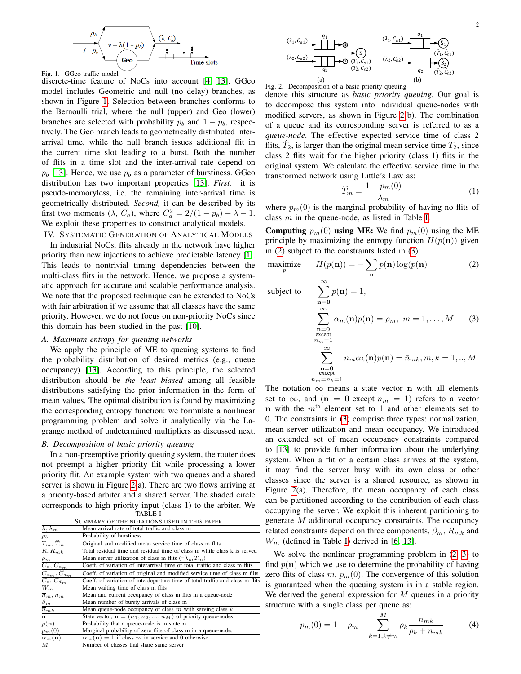

<span id="page-1-0"></span>Fig. 1. GGeo traffic model discrete-time feature of NoCs into account [\[4,](#page-4-3) [13\]](#page-4-12). GGeo model includes Geometric and null (no delay) branches, as shown in Figure [1.](#page-1-0) Selection between branches conforms to the Bernoulli trial, where the null (upper) and Geo (lower) branches are selected with probability  $p_b$  and  $1 - p_b$ , respectively. The Geo branch leads to geometrically distributed interarrival time, while the null branch issues additional flit in the current time slot leading to a burst. Both the number of flits in a time slot and the inter-arrival rate depend on  $p_b$  [\[13\]](#page-4-12). Hence, we use  $p_b$  as a parameter of burstiness. GGeo distribution has two important properties [\[13\]](#page-4-12). *First,* it is pseudo-memoryless, i.e. the remaining inter-arrival time is geometrically distributed. *Second,* it can be described by its first two moments ( $\lambda$ ,  $C_a$ ), where  $C_a^2 = 2/(1 - p_b) - \lambda - 1$ . We exploit these properties to construct analytical models. IV. SYSTEMATIC GENERATION OF ANALYTICAL MODELS

In industrial NoCs, flits already in the network have higher priority than new injections to achieve predictable latency [\[1\]](#page-4-0). This leads to nontrivial timing dependencies between the multi-class flits in the network. Hence, we propose a systematic approach for accurate and scalable performance analysis. We note that the proposed technique can be extended to NoCs with fair arbitration if we assume that all classes have the same priority. However, we do not focus on non-priority NoCs since this domain has been studied in the past [\[10\]](#page-4-9).

#### *A. Maximum entropy for queuing networks*

We apply the principle of ME to queuing systems to find the probability distribution of desired metrics (e.g., queue occupancy) [\[13\]](#page-4-12). According to this principle, the selected distribution should be *the least biased* among all feasible distributions satisfying the prior information in the form of mean values. The optimal distribution is found by maximizing the corresponding entropy function: we formulate a nonlinear programming problem and solve it analytically via the Lagrange method of undetermined multipliers as discussed next.

# <span id="page-1-7"></span>*B. Decomposition of basic priority queuing*

In a non-preemptive priority queuing system, the router does not preempt a higher priority flit while processing a lower priority flit. An example system with two queues and a shared server is shown in Figure [2\(](#page-1-1)a). There are two flows arriving at a priority-based arbiter and a shared server. The shaded circle corresponds to high priority input (class 1) to the arbiter. We

<span id="page-1-2"></span>

|                                         | <b>TABLE I</b>                                                                |
|-----------------------------------------|-------------------------------------------------------------------------------|
|                                         | SUMMARY OF THE NOTATIONS USED IN THIS PAPER                                   |
| $\overline{\lambda, \lambda_m}$         | Mean arrival rate of total traffic and class m                                |
| $\mathfrak{p}_b$                        | Probability of burstiness                                                     |
| $T_m, \widehat{T}_m$                    | Original and modified mean service time of class m flits                      |
| $R, R_{mk}$                             | Total residual time and residual time of class m while class k is served      |
| $\rho_m$                                | Mean server utilization of class m flits $(\equiv \lambda_m T_m)$             |
| $\overline{C_a, C_{a_m}}$               | Coeff, of variation of interarrival time of total traffic and class m flits   |
| $\overline{C_{s_m}, \widehat{C}_{s_m}}$ | Coeff. of variation of original and modified service time of class m flits    |
| $\overline{C_d, C_{d_m}}$               | Coeff. of variation of interdeparture time of total traffic and class m flits |
| $\overline{W}_m$                        | Mean waiting time of class m flits                                            |
| $\overline{n}_m, n_m$                   | Mean and current occupancy of class m flits in a queue-node                   |
| $\beta_m$                               | Mean number of bursty arrivals of class m                                     |
| $\overline{n}_{mk}$                     | Mean queue-node occupancy of class $m$ with serving class $k$                 |
| n                                       | State vector, $\mathbf{n} = (n_1, n_2, , n_M)$ of priority queue-nodes        |
| $\overline{p(\mathbf{n})}$              | Probability that a queue-node is in state n                                   |
| $p_m(0)$                                | Marginal probability of zero flits of class m in a queue-node.                |
| $\alpha_m(n)$                           | $\alpha_m(\mathbf{n}) = 1$ if class m in service and 0 otherwise              |
| $\overline{M}$                          | Number of classes that share same server                                      |
|                                         |                                                                               |



<span id="page-1-1"></span>

denote this structure as *basic priority queuing*. Our goal is to decompose this system into individual queue-nodes with modified servers, as shown in Figure [2\(](#page-1-1)b). The combination of a queue and its corresponding server is referred to as a *queue-node*. The effective expected service time of class 2 flits,  $\hat{T}_2$ , is larger than the original mean service time  $T_2$ , since class 2 flits wait for the higher priority (class 1) flits in the original system. We calculate the effective service time in the transformed network using Little's Law as:

<span id="page-1-6"></span><span id="page-1-4"></span><span id="page-1-3"></span>
$$
\widehat{T}_m = \frac{1 - p_m(0)}{\lambda_m} \tag{1}
$$

where  $p_m(0)$  is the marginal probability of having no flits of class  $m$  in the queue-node, as listed in Table [I.](#page-1-2)

**Computing**  $p_m(0)$  using ME: We find  $p_m(0)$  using the ME principle by maximizing the entropy function  $H(p(n))$  given in [\(2\)](#page-1-3) subject to the constraints listed in [\(3\)](#page-1-4):

$$
\underset{p}{\text{maximize}} \qquad H(p(\mathbf{n})) = -\sum_{\mathbf{n}} p(\mathbf{n}) \log(p(\mathbf{n}) \tag{2}
$$

subject to 
$$
\sum_{n=0}^{\infty} p(n) = 1,
$$

$$
\sum_{\substack{n=0 \text{ except } n_m = 1}}^{\infty} \alpha_m(n) p(n) = \rho_m, \ m = 1, ..., M \qquad (3)
$$

$$
\sum_{\substack{n=0 \text{ except } n_m \leq n}}^{\infty} n_m \alpha_k(n) p(n) = \bar{n}_{mk}, m, k = 1, ..., M
$$

The notation  $\infty$  means a state vector **n** with all elements set to  $\infty$ , and (n = 0 except  $n_m = 1$ ) refers to a vector **n** with the  $m<sup>th</sup>$  element set to 1 and other elements set to 0. The constraints in [\(3\)](#page-1-4) comprise three types: normalization, mean server utilization and mean occupancy. We introduced an extended set of mean occupancy constraints compared to [\[13\]](#page-4-12) to provide further information about the underlying system. When a flit of a certain class arrives at the system, it may find the server busy with its own class or other classes since the server is a shared resource, as shown in Figure [2\(](#page-1-1)a). Therefore, the mean occupancy of each class can be partitioned according to the contribution of each class occupying the server. We exploit this inherent partitioning to generate M additional occupancy constraints. The occupancy related constraints depend on three components,  $\beta_m$ ,  $R_{mk}$  and  $W_m$  (defined in Table [I\)](#page-1-2) derived in [\[6,](#page-4-5) [13\]](#page-4-12).

We solve the nonlinear programming problem in [\(2,](#page-1-3) [3\)](#page-1-4) to find  $p(n)$  which we use to determine the probability of having zero flits of class  $m$ ,  $p_m(0)$ . The convergence of this solution is guaranteed when the queuing system is in a stable region. We derived the general expression for  $M$  queues in a priority structure with a single class per queue as:

<span id="page-1-5"></span>
$$
p_m(0) = 1 - \rho_m - \sum_{k=1, k \neq m}^{M} \rho_k \frac{\overline{n}_{mk}}{\rho_k + \overline{n}_{mk}}
$$
(4)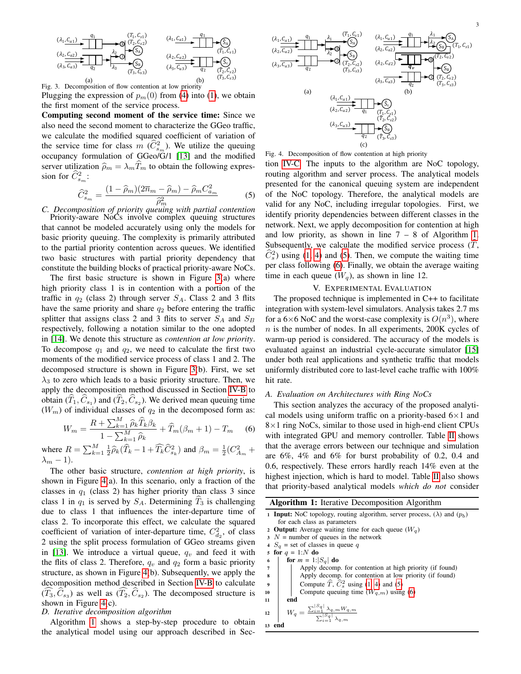

<span id="page-2-0"></span>

Plugging the expression of  $p_m(0)$  from [\(4\)](#page-1-5) into [\(1\)](#page-1-6), we obtain the first moment of the service process.

Computing second moment of the service time: Since we also need the second moment to characterize the GGeo traffic, we calculate the modified squared coefficient of variation of the service time for class  $m(\hat{C}_{s_m}^2)$ . We utilize the queuing occupancy formulation of GGeo/G/1 [\[13\]](#page-4-12) and the modified server utilization  $\hat{\rho}_m = \lambda_m T_m$  to obtain the following expression for  $\widehat{C}_{s_m}^2$ :

<span id="page-2-4"></span>
$$
\widehat{C}_{s_m}^2 = \frac{(1 - \widehat{\rho}_m)(2\overline{n}_m - \widehat{\rho}_m) - \widehat{\rho}_m C_{a_m}^2}{\widehat{\rho}_m^2} \tag{5}
$$

<span id="page-2-3"></span>*C*  $\sigma_{s_m}$   $\widehat{\rho}_m^2$   $\widehat{\rho}_m^2$  *C. Decomposition of priority queuing with partial contention* Priority-aware NoCs involve complex queuing structures that cannot be modeled accurately using only the models for basic priority queuing. The complexity is primarily attributed to the partial priority contention across queues. We identified two basic structures with partial priority dependency that constitute the building blocks of practical priority-aware NoCs.

The first basic structure is shown in Figure [3\(](#page-2-0)a) where high priority class 1 is in contention with a portion of the traffic in  $q_2$  (class 2) through server  $S_A$ . Class 2 and 3 flits have the same priority and share  $q_2$  before entering the traffic splitter that assigns class 2 and 3 flits to server  $S_A$  and  $S_B$ respectively, following a notation similar to the one adopted in [\[14\]](#page-4-13). We denote this structure as *contention at low priority*. To decompose  $q_1$  and  $q_2$ , we need to calculate the first two moments of the modified service process of class 1 and 2. The decomposed structure is shown in Figure [3\(](#page-2-0)b). First, we set  $\lambda_3$  to zero which leads to a basic priority structure. Then, we apply the decomposition method discussed in Section [IV-B](#page-1-7) to obtain  $(T_1, C_{s_1})$  and  $(T_2, C_{s_2})$ . We derived mean queuing time  $(W<sub>m</sub>)$  of individual classes of  $q<sub>2</sub>$  in the decomposed form as:

<span id="page-2-5"></span>
$$
W_m = \frac{R + \sum_{k=1}^M \widehat{\rho}_k \widehat{T}_k \beta_k}{1 - \sum_{k=1}^M \widehat{\rho}_k} + \widehat{T}_m(\beta_m + 1) - T_m \quad (6)
$$

where  $R = \sum_{k=1}^{M} \frac{1}{2} \hat{\rho}_k (\hat{T}_k - 1 + \hat{T}_k \hat{C}_{s_k}^2)$  and  $\beta_m = \frac{1}{2} (C_{A_m}^2 + 1)$  $\lambda_m - 1$ ).

The other basic structure, *contention at high priority*, is shown in Figure [4\(](#page-2-1)a). In this scenario, only a fraction of the classes in  $q_1$  (class 2) has higher priority than class 3 since class 1 in  $q_1$  is served by  $S_A$ . Determining  $T_3$  is challenging due to class 1 that influences the inter-departure time of class 2. To incorporate this effect, we calculate the squared coefficient of variation of inter-departure time,  $C_{d_2}^2$ , of class 2 using the split process formulation of GGeo streams given in [\[13\]](#page-4-12). We introduce a virtual queue,  $q_v$  and feed it with the flits of class 2. Therefore,  $q_v$  and  $q_2$  form a basic priority structure, as shown in Figure [4\(](#page-2-1)b). Subsequently, we apply the decomposition method described in Section [IV-B](#page-1-7) to calculate  $(T_3, C_{s_3})$  as well as  $(T_2, C_{s_2})$ . The decomposed structure is shown in Figure [4\(](#page-2-1)c).

# *D. Iterative decomposition algorithm*

Algorithm [1](#page-2-2) shows a step-by-step procedure to obtain the analytical model using our approach described in Sec-



<span id="page-2-1"></span>tion [IV-C.](#page-2-3) The inputs to the algorithm are NoC topology, routing algorithm and server process. The analytical models presented for the canonical queuing system are independent of the NoC topology. Therefore, the analytical models are valid for any NoC, including irregular topologies. First, we identify priority dependencies between different classes in the network. Next, we apply decomposition for contention at high and low priority, as shown in line  $7 - 8$  of Algorithm [1.](#page-2-2) Subsequently, we calculate the modified service process  $(T, \mathcal{F})$  $\hat{C}_s^2$ ) using [\(1,](#page-1-6) [4\)](#page-1-5) and [\(5\)](#page-2-4). Then, we compute the waiting time per class following [\(6\)](#page-2-5). Finally, we obtain the average waiting time in each queue  $(W_q)$ , as shown in line 12.

#### V. EXPERIMENTAL EVALUATION

The proposed technique is implemented in C++ to facilitate integration with system-level simulators. Analysis takes 2.7 ms for a 6×6 NoC and the worst-case complexity is  $O(n^3)$ , where  $n$  is the number of nodes. In all experiments, 200K cycles of warm-up period is considered. The accuracy of the models is evaluated against an industrial cycle-accurate simulator [\[15\]](#page-4-14) under both real applications and synthetic traffic that models uniformly distributed core to last-level cache traffic with 100% hit rate.

# *A. Evaluation on Architectures with Ring NoCs*

This section analyzes the accuracy of the proposed analytical models using uniform traffic on a priority-based  $6\times1$  and  $8\times1$  ring NoCs, similar to those used in high-end client CPUs with integrated GPU and memory controller. Table [II](#page-3-0) shows that the average errors between our technique and simulation are 6%, 4% and 6% for burst probability of 0.2, 0.4 and 0.6, respectively. These errors hardly reach 14% even at the highest injection, which is hard to model. Table [II](#page-3-0) also shows that priority-based analytical models *which do not* consider

<span id="page-2-2"></span>

| <b>Algorithm 1:</b> Iterative Decomposition Algorithm                                           |
|-------------------------------------------------------------------------------------------------|
| <b>1 Input:</b> NoC topology, routing algorithm, server process, $(\lambda)$ and $(p_h)$        |
| for each class as parameters                                                                    |
| 2 <b>Output:</b> Average waiting time for each queue $(W_q)$                                    |
| $3$ N = number of queues in the network                                                         |
| 4 $S_q$ = set of classes in queue q                                                             |
| for $q = 1:N$ do<br>5                                                                           |
| for $m = 1:  S_q $ do<br>6                                                                      |
| $\overline{7}$<br>Apply decomp. for contention at high priority (if found)                      |
| Apply decomp. for contention at low priority (if found)<br>8                                    |
| Compute $\widehat{T}$ , $\widehat{C}_s^2$ using (1, 4) and (5)<br>$\boldsymbol{9}$              |
| Compute queuing time $(W_{a,m})$ using (6)<br>10                                                |
| end<br>11                                                                                       |
| $W_q = \frac{\sum_{i=1}^{ S_q } \lambda_{q,m} W_{q,m}}{\sum_{i=1}^{ S_q } \lambda_{q,m}}$<br>12 |
| 13 end                                                                                          |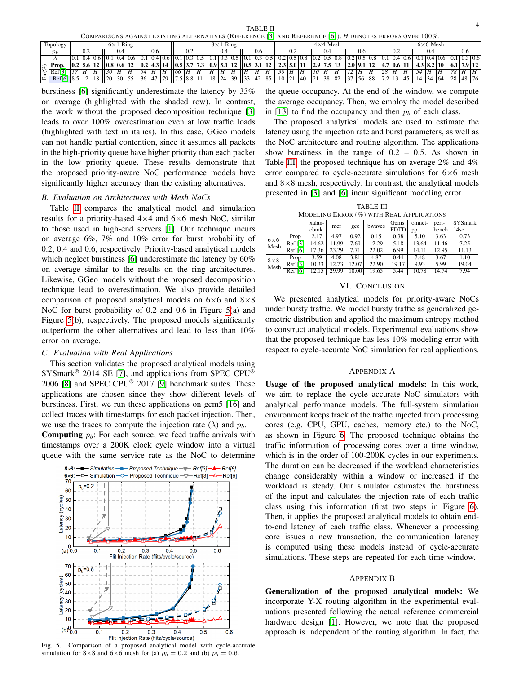TABLE II COMPARISONS AGAINST EXISTING ALTERNATIVES (REFERENCE [\[3\]](#page-4-2) AND REFERENCE [\[6\]](#page-4-5)). *H* DENOTES ERRORS OVER 100%.

<span id="page-3-0"></span>

|                             | COMEARDONS AOAINST EAISTING ALTERNATIVES (INCLENENCE [3] AND INCLEARTNCE [9]). IT DENOTES ERRORS OVER TOOT. |  |                  |                 |           |     |                                                  |             |                 |    |     |                       |                                                                                      |                 |      |       |              |     |                  |                |    |                  |     |                          |   |      |                                           |    |     |             |            |     |             |             |     |        |
|-----------------------------|-------------------------------------------------------------------------------------------------------------|--|------------------|-----------------|-----------|-----|--------------------------------------------------|-------------|-----------------|----|-----|-----------------------|--------------------------------------------------------------------------------------|-----------------|------|-------|--------------|-----|------------------|----------------|----|------------------|-----|--------------------------|---|------|-------------------------------------------|----|-----|-------------|------------|-----|-------------|-------------|-----|--------|
| Topology<br>$6\times1$ Ring |                                                                                                             |  |                  | $8\times1$ Ring |           |     |                                                  |             | $4\times4$ Mesh |    |     |                       |                                                                                      | $6\times6$ Mesh |      |       |              |     |                  |                |    |                  |     |                          |   |      |                                           |    |     |             |            |     |             |             |     |        |
|                             | $p_b$                                                                                                       |  |                  |                 |           | 0.4 |                                                  |             | V.O             |    |     | U.Z                   |                                                                                      |                 | 0.4  |       |              | V.O |                  |                |    |                  |     |                          |   | -0.6 |                                           |    | 0.2 |             |            | 0.4 |             |             | U.O |        |
|                             |                                                                                                             |  | 0.1 0.4 0.6      |                 |           |     | $\left[0.4\, 0.6\, 0.1\, 0.4\, 0.6\, 0.1\right]$ |             |                 |    |     |                       |                                                                                      |                 |      |       |              |     |                  |                |    |                  |     | 0.2 0.5 0.8              |   |      | $.2 \mid 0.5 \mid 0.8 \mid 0.1$           |    |     | 1 0.4 0.6   |            |     | 0.1 0.4 0.6 | 0.1 0.3 0.6 |     |        |
| $\widehat{\omega}$          | Prop.                                                                                                       |  | $ 0.2 $ 5.6   12 |                 |           |     | 0.8 0.6 12                                       | 0.2 4.3     |                 | 14 |     |                       | $\left  0.5 \right  3.7 \left  7.3 \right  \left  0.9 \right  5.1 \left  12 \right $ |                 |      |       | 0.5  3.1     |     | $12$ $\parallel$ |                |    | $2.3$ 5.0 11     |     | $\vert$   2.9   7.5   13 |   |      | 2.0  9.1  12  4.7  0.6  11                |    |     |             | 4.3 8.2 10 |     |             |             |     | 7.9 12 |
|                             | $\left \frac{\infty}{H}\right $ Ref[3]                                                                      |  |                  |                 | - 30      |     | ΙH                                               |             | . Н             |    | 166 | H                     | Н                                                                                    |                 | Н    | ١H    |              | Н   |                  | 30             |    | ١H               |     | ١H                       | Η | Η    |                                           | 28 |     |             |            |     |             |             |     |        |
| Iш                          | Ref[6]                                                                                                      |  |                  | 18              | $\Box$ 20 |     | $30 \mid 55 \mid$                                | $\sqrt{36}$ | - 147           | 79 |     | $.5 \,   \, 8.8 \,  $ |                                                                                      | 18              | 24 I | $-39$ | 33   42   85 |     |                  | $\parallel$ 10 | 21 | $\overline{140}$ | 121 |                          |   |      | $ 38 \t  82 \t  37 \t  56 \t  88 \t  7.2$ |    |     | $ 45 $   14 |            |     | 34 164 II   | 28 148      |     | 76 I   |

burstiness [\[6\]](#page-4-5) significantly underestimate the latency by 33% on average (highlighted with the shaded row). In contrast, the work without the proposed decomposition technique [\[3\]](#page-4-2) leads to over 100% overestimation even at low traffic loads (highlighted with text in italics). In this case, GGeo models can not handle partial contention, since it assumes all packets in the high-priority queue have higher priority than each packet in the low priority queue. These results demonstrate that the proposed priority-aware NoC performance models have significantly higher accuracy than the existing alternatives.

# *B. Evaluation on Architectures with Mesh NoCs*

Table [II](#page-3-0) compares the analytical model and simulation results for a priority-based  $4\times4$  and  $6\times6$  mesh NoC, similar to those used in high-end servers [\[1\]](#page-4-0). Our technique incurs on average 6%, 7% and 10% error for burst probability of 0.2, 0.4 and 0.6, respectively. Priority-based analytical models which neglect burstiness [\[6\]](#page-4-5) underestimate the latency by 60% on average similar to the results on the ring architectures. Likewise, GGeo models without the proposed decomposition technique lead to overestimation. We also provide detailed comparison of proposed analytical models on  $6\times6$  and  $8\times8$ NoC for burst probability of 0.2 and 0.6 in Figure [5\(](#page-3-1)a) and Figure [5\(](#page-3-1)b), respectively. The proposed models significantly outperform the other alternatives and lead to less than 10% error on average.

# *C. Evaluation with Real Applications*

This section validates the proposed analytical models using SYSmark<sup>®</sup> 2014 SE [\[7\]](#page-4-6), and applications from SPEC CPU<sup>®</sup> 2006 [\[8\]](#page-4-7) and SPEC CPU® 2017 [\[9\]](#page-4-8) benchmark suites. These applications are chosen since they show different levels of burstiness. First, we run these applications on gem5 [\[16\]](#page-4-15) and collect traces with timestamps for each packet injection. Then, we use the traces to compute the injection rate ( $\lambda$ ) and  $p_b$ .

**Computing**  $p_b$ : For each source, we feed traffic arrivals with timestamps over a 200K clock cycle window into a virtual queue with the same service rate as the NoC to determine



<span id="page-3-1"></span>Fig. 5. Comparison of a proposed analytical model with cycle-accurate simulation for 8×8 and 6×6 mesh for (a)  $p_b = 0.2$  and (b)  $p_b = 0.6$ .

the queue occupancy. At the end of the window, we compute the average occupancy. Then, we employ the model described in [\[13\]](#page-4-12) to find the occupancy and then  $p_b$  of each class.

The proposed analytical models are used to estimate the latency using the injection rate and burst parameters, as well as the NoC architecture and routing algorithm. The applications show burstiness in the range of  $0.2 - 0.5$ . As shown in Table [III,](#page-3-2) the proposed technique has on average 2% and 4% error compared to cycle-accurate simulations for  $6\times6$  mesh and  $8\times 8$  mesh, respectively. In contrast, the analytical models presented in [\[3\]](#page-4-2) and [\[6\]](#page-4-5) incur significant modeling error.

|  |  | TABLE III                                     |  |  |
|--|--|-----------------------------------------------|--|--|
|  |  | MODELING ERROR (%) WITH REAL APPLICATIONS     |  |  |
|  |  | xalan- met con hypness Gems omnet- perl- SYSn |  |  |

<span id="page-3-2"></span>

|             |         | xalan- | mcf   |       | bwayes | Gems        | omnet- | perl- | SYSmark |
|-------------|---------|--------|-------|-------|--------|-------------|--------|-------|---------|
|             |         | cbmk   |       | gcc   |        | <b>FDTD</b> | pp     | bench | 14se    |
| $6\times 6$ | Prop    | 2.17   | 4.97  | 0.92  | 0.15   | 0.38        | 5.10   | 3.63  | 0.73    |
| Mesh        | Ref [3] | 4.62   | 11.99 | 7.69  | 12.29  | 5.18        | 13.64  | 11.46 | 7.25    |
|             | Ref [6] | 7.36   | 23.29 | 7.71  | 22.02  | 6.99        | 14.11  | 12.95 | 11.13   |
| $8\times8$  | Prop    | 3.59   | 4.08  | 3.81  | 4.87   | 0.44        | 7.48   | 3.67  | 1.10    |
| Mesh        | Ref [3] | 10.33  | 12.73 | 12.07 | 22.90  | 19.17       | 9.93   | 5.99  | 19.04   |
|             | Ref [6] |        | 29.99 | 10.00 | 19.65  | 5.44        | 10.78  | 14.74 | 7.94    |

# VI. CONCLUSION

We presented analytical models for priority-aware NoCs under bursty traffic. We model bursty traffic as generalized geometric distribution and applied the maximum entropy method to construct analytical models. Experimental evaluations show that the proposed technique has less 10% modeling error with respect to cycle-accurate NoC simulation for real applications.

# APPENDIX A

Usage of the proposed analytical models: In this work, we aim to replace the cycle accurate NoC simulators with analytical performance models. The full-system simulation environment keeps track of the traffic injected from processing cores (e.g. CPU, GPU, caches, memory etc.) to the NoC, as shown in Figure [6.](#page-4-16) The proposed technique obtains the traffic information of processing cores over a time window, which is in the order of 100-200K cycles in our experiments. The duration can be decreased if the workload characteristics change considerably within a window or increased if the workload is steady. Our simulator estimates the burstiness of the input and calculates the injection rate of each traffic class using this information (first two steps in Figure [6\)](#page-4-16). Then, it applies the proposed analytical models to obtain endto-end latency of each traffic class. Whenever a processing core issues a new transaction, the communication latency is computed using these models instead of cycle-accurate simulations. These steps are repeated for each time window.

#### APPENDIX B

Generalization of the proposed analytical models: We incorporate Y-X routing algorithm in the experimental evaluations presented following the actual reference commercial hardware design [\[1\]](#page-4-0). However, we note that the proposed approach is independent of the routing algorithm. In fact, the